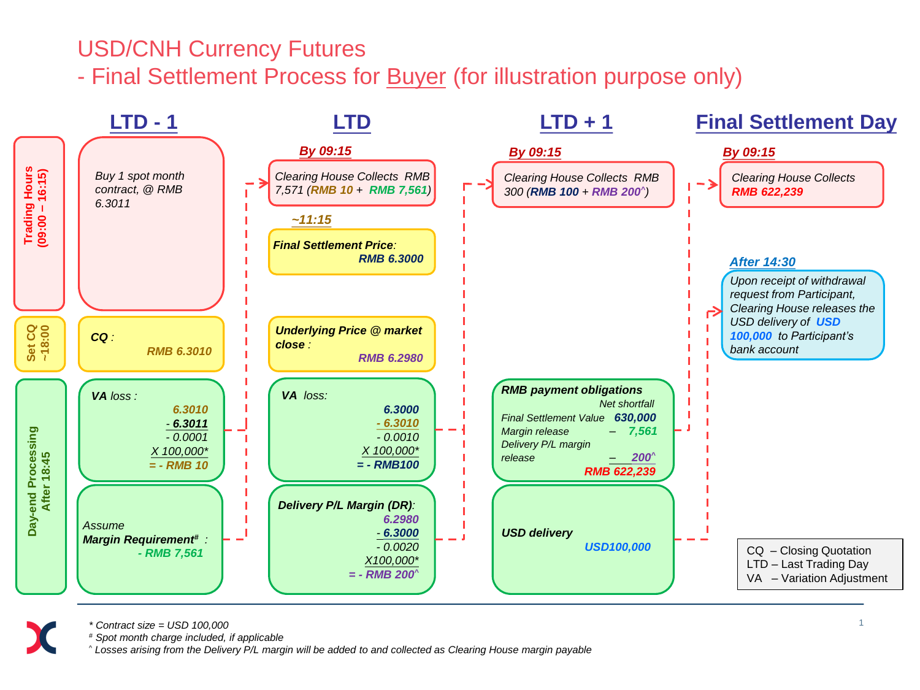## USD/CNH Currency Futures

- Final Settlement Process for **Buyer** (for illustration purpose only)





*\* Contract size = USD 100,000*

*# Spot month charge included, if applicable*

*^ Losses arising from the Delivery P/L margin will be added to and collected as Clearing House margin payable*